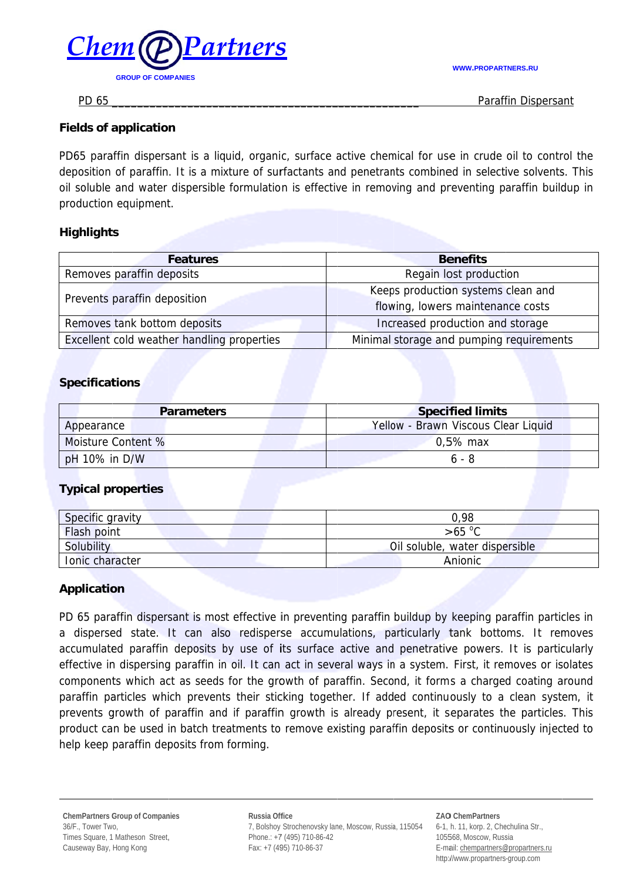**WWW.PROPARTNERS.RU** 



Paraffin Dispersant

PD 65

## **Fields of application**

PD65 paraffin dispersant is a liquid, organic, surface active chemical for use in crude oil to control the deposition of paraffin. It is a mixture of surfactants and penetrants combined in selective solvents. This oil soluble and water dispersible formulation is effective in removing and preventing paraffin buildup in production equipment.

# **Highlights**

| <b>Features</b>                            | <b>Benefits</b>                          |
|--------------------------------------------|------------------------------------------|
| Removes paraffin deposits                  | Regain lost production                   |
| Prevents paraffin deposition               | Keeps production systems clean and       |
|                                            | flowing, lowers maintenance costs        |
| Removes tank bottom deposits               | Increased production and storage         |
| Excellent cold weather handling properties | Minimal storage and pumping requirements |

## **Specifications**

| <b>Parameters</b>  | <b>Specified limits</b>             |
|--------------------|-------------------------------------|
| Appearance         | Yellow - Brawn Viscous Clear Liquid |
| Moisture Content % | $0.5\%$ max                         |
| pH 10% in D/W      | 6 - 8                               |

## **Typical properties**

| Specific gravity   | 0,98                           |
|--------------------|--------------------------------|
| <b>Flash point</b> | $>65\text{ °C}$                |
| Solubility         | Oil soluble, water dispersible |
| Ionic character    | Anionic                        |

## **Application**

PD 65 paraffin dispersant is most effective in preventing paraffin buildup by keeping paraffin particles in a dispersed state. It can also redisperse accumulations, particularly tank bottoms. It removes accumulated paraffin deposits by use of its surface active and penetrative powers. It is particularly effective in dispersing paraffin in oil. It can act in several ways in a system. First, it removes or isolates components which act as seeds for the growth of paraffin. Second, it forms a charged coating around paraffin particles which prevents their sticking together. If added continuously to a clean system, it prevents growth of paraffin and if paraffin growth is already present, it separates the particles. This product can be used in batch treatments to remove existing paraffin deposits or continuously injected to help keep paraffin deposits from forming.

Russia Office 7, Bolshoy Strochenovsky lane, Moscow, Russia, 115054 Phone.: +7 (495) 710-86-42 Fax: +7 (495) 710-86-37

**ZAO ChemPartners** 6-1, h. 11, korp. 2, Chechulina Str., 105568, Moscow, Russia E-mail: chempartners@propartners.ru http://www.propartners-group.com